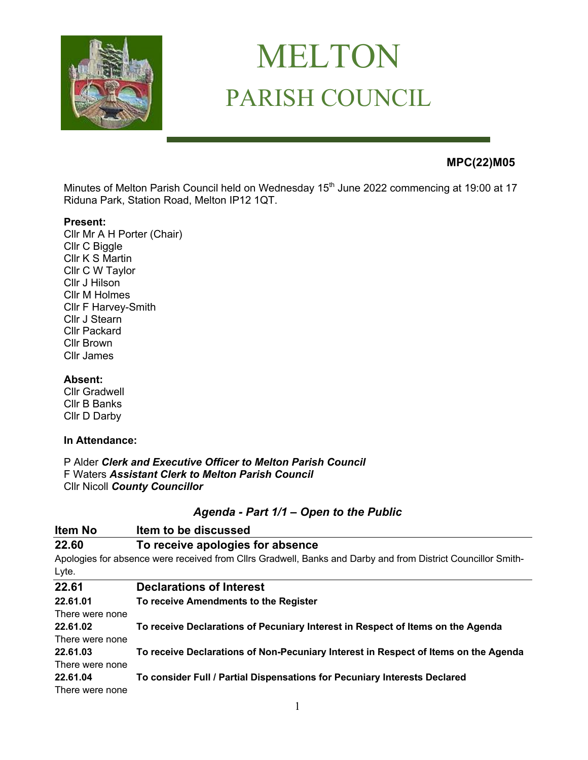

# MELTON PARISH COUNCIL

# **MPC(22)M05**

Minutes of Melton Parish Council held on Wednesday 15<sup>th</sup> June 2022 commencing at 19:00 at 17 Riduna Park, Station Road, Melton IP12 1QT.

#### **Present:**

Cllr Mr A H Porter (Chair) Cllr C Biggle Cllr K S Martin Cllr C W Taylor Cllr J Hilson Cllr M Holmes Cllr F Harvey-Smith Cllr J Stearn Cllr Packard Cllr Brown Cllr James

#### **Absent:**

Cllr Gradwell Cllr B Banks Cllr D Darby

#### **In Attendance:**

P Alder *Clerk and Executive Officer to Melton Parish Council*  F Waters *Assistant Clerk to Melton Parish Council* Cllr Nicoll *County Councillor*

## *Agenda - Part 1/1 – Open to the Public*

| Item No         | Item to be discussed                                                                                         |
|-----------------|--------------------------------------------------------------------------------------------------------------|
| 22.60           | To receive apologies for absence                                                                             |
|                 | Apologies for absence were received from Cllrs Gradwell, Banks and Darby and from District Councillor Smith- |
| Lyte.           |                                                                                                              |
| 22.61           | <b>Declarations of Interest</b>                                                                              |
| 22.61.01        | To receive Amendments to the Register                                                                        |
| There were none |                                                                                                              |
| 22.61.02        | To receive Declarations of Pecuniary Interest in Respect of Items on the Agenda                              |
| There were none |                                                                                                              |
| 22.61.03        | To receive Declarations of Non-Pecuniary Interest in Respect of Items on the Agenda                          |
| There were none |                                                                                                              |
| 22.61.04        | To consider Full / Partial Dispensations for Pecuniary Interests Declared                                    |
| There were none |                                                                                                              |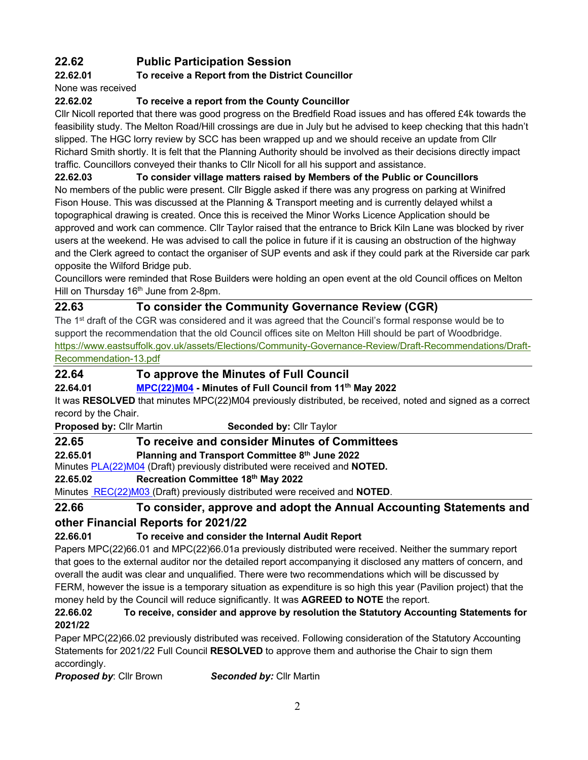# **22.62 Public Participation Session**

## **22.62.01 To receive a Report from the District Councillor**

None was received

## **22.62.02 To receive a report from the County Councillor**

Cllr Nicoll reported that there was good progress on the Bredfield Road issues and has offered £4k towards the feasibility study. The Melton Road/Hill crossings are due in July but he advised to keep checking that this hadn't slipped. The HGC lorry review by SCC has been wrapped up and we should receive an update from Cllr Richard Smith shortly. It is felt that the Planning Authority should be involved as their decisions directly impact traffic. Councillors conveyed their thanks to Cllr Nicoll for all his support and assistance.

#### **22.62.03 To consider village matters raised by Members of the Public or Councillors**

No members of the public were present. Cllr Biggle asked if there was any progress on parking at Winifred Fison House. This was discussed at the Planning & Transport meeting and is currently delayed whilst a topographical drawing is created. Once this is received the Minor Works Licence Application should be approved and work can commence. Cllr Taylor raised that the entrance to Brick Kiln Lane was blocked by river users at the weekend. He was advised to call the police in future if it is causing an obstruction of the highway and the Clerk agreed to contact the organiser of SUP events and ask if they could park at the Riverside car park opposite the Wilford Bridge pub.

Councillors were reminded that Rose Builders were holding an open event at the old Council offices on Melton Hill on Thursday 16<sup>th</sup> June from 2-8pm.

# **22.63 To consider the Community Governance Review (CGR)**

The 1<sup>st</sup> draft of the CGR was considered and it was agreed that the Council's formal response would be to support the recommendation that the old Council offices site on Melton Hill should be part of Woodbridge. https://www.eastsuffolk.gov.uk/assets/Elections/Community-Governance-Review/Draft-Recommendations/Draft-Recommendation-13.pdf

## **22.64 To approve the Minutes of Full Council**

#### **22.64.01 MPC(22)M04 - Minutes of Full Council from 11th May 2022**

It was **RESOLVED** that minutes MPC(22)M04 previously distributed, be received, noted and signed as a correct record by the Chair.

**Proposed by: Cllr Martin <b>Seconded by: Cllr** Taylor

#### **22.65 To receive and consider Minutes of Committees**

**22.65.01 Planning and Transport Committee 8th June 2022**

Minutes PLA(22)M04 (Draft) previously distributed were received and **NOTED.**

#### **22.65.02 Recreation Committee 18th May 2022**

Minutes REC(22)M03 (Draft) previously distributed were received and **NOTED**.

# **22.66 To consider, approve and adopt the Annual Accounting Statements and**

# **other Financial Reports for 2021/22**

# **22.66.01 To receive and consider the Internal Audit Report**

Papers MPC(22)66.01 and MPC(22)66.01a previously distributed were received. Neither the summary report that goes to the external auditor nor the detailed report accompanying it disclosed any matters of concern, and overall the audit was clear and unqualified. There were two recommendations which will be discussed by FERM, however the issue is a temporary situation as expenditure is so high this year (Pavilion project) that the money held by the Council will reduce significantly. It was **AGREED to NOTE** the report.

#### **22.66.02 To receive, consider and approve by resolution the Statutory Accounting Statements for 2021/22**

Paper MPC(22)66.02 previously distributed was received. Following consideration of the Statutory Accounting Statements for 2021/22 Full Council **RESOLVED** to approve them and authorise the Chair to sign them accordingly.

*Proposed by*: Cllr Brown *Seconded by:* Cllr Martin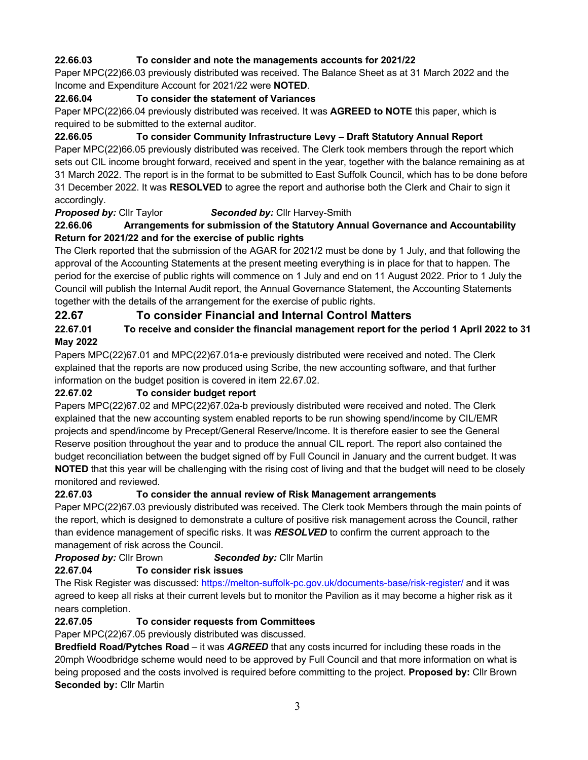#### **22.66.03 To consider and note the managements accounts for 2021/22**

Paper MPC(22)66.03 previously distributed was received. The Balance Sheet as at 31 March 2022 and the Income and Expenditure Account for 2021/22 were **NOTED**.

#### **22.66.04 To consider the statement of Variances**

Paper MPC(22)66.04 previously distributed was received. It was **AGREED to NOTE** this paper, which is required to be submitted to the external auditor.

**22.66.05 To consider Community Infrastructure Levy – Draft Statutory Annual Report**

Paper MPC(22)66.05 previously distributed was received. The Clerk took members through the report which sets out CIL income brought forward, received and spent in the year, together with the balance remaining as at 31 March 2022. The report is in the format to be submitted to East Suffolk Council, which has to be done before 31 December 2022. It was **RESOLVED** to agree the report and authorise both the Clerk and Chair to sign it accordingly.

#### *Proposed by:* Cllr Taylor *Seconded by:* Cllr Harvey-Smith

#### **22.66.06 Arrangements for submission of the Statutory Annual Governance and Accountability Return for 2021/22 and for the exercise of public rights**

The Clerk reported that the submission of the AGAR for 2021/2 must be done by 1 July, and that following the approval of the Accounting Statements at the present meeting everything is in place for that to happen. The period for the exercise of public rights will commence on 1 July and end on 11 August 2022. Prior to 1 July the Council will publish the Internal Audit report, the Annual Governance Statement, the Accounting Statements together with the details of the arrangement for the exercise of public rights.

## **22.67 To consider Financial and Internal Control Matters**

#### **22.67.01 To receive and consider the financial management report for the period 1 April 2022 to 31 May 2022**

Papers MPC(22)67.01 and MPC(22)67.01a-e previously distributed were received and noted. The Clerk explained that the reports are now produced using Scribe, the new accounting software, and that further information on the budget position is covered in item 22.67.02.

#### **22.67.02 To consider budget report**

Papers MPC(22)67.02 and MPC(22)67.02a-b previously distributed were received and noted. The Clerk explained that the new accounting system enabled reports to be run showing spend/income by CIL/EMR projects and spend/income by Precept/General Reserve/Income. It is therefore easier to see the General Reserve position throughout the year and to produce the annual CIL report. The report also contained the budget reconciliation between the budget signed off by Full Council in January and the current budget. It was **NOTED** that this year will be challenging with the rising cost of living and that the budget will need to be closely monitored and reviewed.

#### **22.67.03 To consider the annual review of Risk Management arrangements**

Paper MPC(22)67.03 previously distributed was received. The Clerk took Members through the main points of the report, which is designed to demonstrate a culture of positive risk management across the Council, rather than evidence management of specific risks. It was *RESOLVED* to confirm the current approach to the management of risk across the Council.

*Proposed by:* Cllr Brown *Seconded by:* Cllr Martin

#### **22.67.04 To consider risk issues**

The Risk Register was discussed: https://melton-suffolk-pc.gov.uk/documents-base/risk-register/ and it was agreed to keep all risks at their current levels but to monitor the Pavilion as it may become a higher risk as it nears completion.

#### **22.67.05 To consider requests from Committees**

Paper MPC(22)67.05 previously distributed was discussed.

**Bredfield Road/Pytches Road** – it was *AGREED* that any costs incurred for including these roads in the 20mph Woodbridge scheme would need to be approved by Full Council and that more information on what is being proposed and the costs involved is required before committing to the project. **Proposed by:** Cllr Brown **Seconded by:** Cllr Martin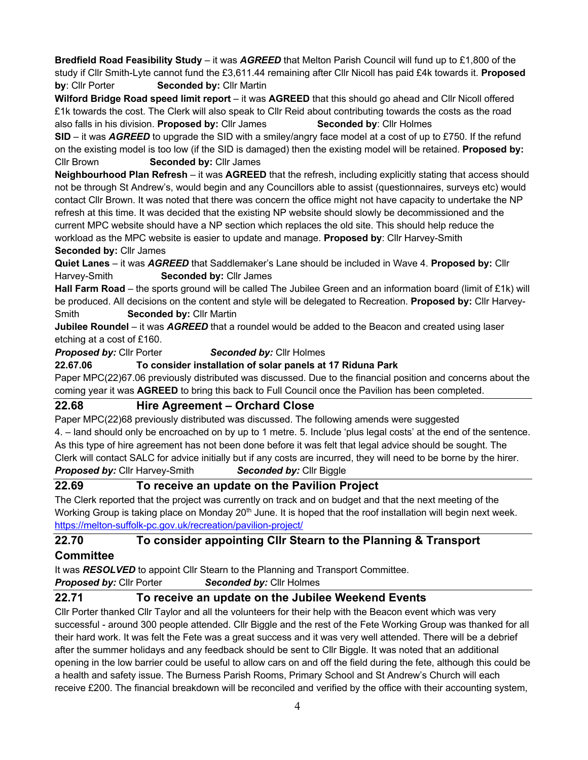**Bredfield Road Feasibility Study** – it was *AGREED* that Melton Parish Council will fund up to £1,800 of the study if Cllr Smith-Lyte cannot fund the £3,611.44 remaining after Cllr Nicoll has paid £4k towards it. **Proposed by**: Cllr Porter **Seconded by:** Cllr Martin

**Wilford Bridge Road speed limit report** – it was **AGREED** that this should go ahead and Cllr Nicoll offered £1k towards the cost. The Clerk will also speak to Cllr Reid about contributing towards the costs as the road also falls in his division. **Proposed by:** Cllr James **Seconded by**: Cllr Holmes

**SID** – it was *AGREED* to upgrade the SID with a smiley/angry face model at a cost of up to £750. If the refund on the existing model is too low (if the SID is damaged) then the existing model will be retained. **Proposed by:** Cllr Brown **Seconded by:** Cllr James

**Neighbourhood Plan Refresh** – it was **AGREED** that the refresh, including explicitly stating that access should not be through St Andrew's, would begin and any Councillors able to assist (questionnaires, surveys etc) would contact Cllr Brown. It was noted that there was concern the office might not have capacity to undertake the NP refresh at this time. It was decided that the existing NP website should slowly be decommissioned and the current MPC website should have a NP section which replaces the old site. This should help reduce the workload as the MPC website is easier to update and manage. **Proposed by**: Cllr Harvey-Smith **Seconded by:** Cllr James

**Quiet Lanes** – it was *AGREED* that Saddlemaker's Lane should be included in Wave 4. **Proposed by:** Cllr Harvey-Smith **Seconded by:** Cllr James

**Hall Farm Road** – the sports ground will be called The Jubilee Green and an information board (limit of £1k) will be produced. All decisions on the content and style will be delegated to Recreation. **Proposed by:** Cllr Harvey-Smith **Seconded by:** Cllr Martin

**Jubilee Roundel** – it was *AGREED* that a roundel would be added to the Beacon and created using laser etching at a cost of £160.

*Proposed by:* Cllr Porter *Seconded by:* Cllr Holmes

**22.67.06 To consider installation of solar panels at 17 Riduna Park**

Paper MPC(22)67.06 previously distributed was discussed. Due to the financial position and concerns about the coming year it was **AGREED** to bring this back to Full Council once the Pavilion has been completed.

#### **22.68 Hire Agreement – Orchard Close**

Paper MPC(22)68 previously distributed was discussed. The following amends were suggested 4. – land should only be encroached on by up to 1 metre. 5. Include 'plus legal costs' at the end of the sentence. As this type of hire agreement has not been done before it was felt that legal advice should be sought. The Clerk will contact SALC for advice initially but if any costs are incurred, they will need to be borne by the hirer. **Proposed by:** Cllr Harvey-Smith **Seconded by:** Cllr Biggle

# **22.69 To receive an update on the Pavilion Project**

The Clerk reported that the project was currently on track and on budget and that the next meeting of the Working Group is taking place on Monday  $20<sup>th</sup>$  June. It is hoped that the roof installation will begin next week. https://melton-suffolk-pc.gov.uk/recreation/pavilion-project/

#### **22.70 To consider appointing Cllr Stearn to the Planning & Transport**

#### **Committee**

It was *RESOLVED* to appoint Cllr Stearn to the Planning and Transport Committee.

*Proposed by:* Cllr Porter *Seconded by:* Cllr Holmes

# **22.71 To receive an update on the Jubilee Weekend Events**

Cllr Porter thanked Cllr Taylor and all the volunteers for their help with the Beacon event which was very successful - around 300 people attended. Cllr Biggle and the rest of the Fete Working Group was thanked for all their hard work. It was felt the Fete was a great success and it was very well attended. There will be a debrief after the summer holidays and any feedback should be sent to Cllr Biggle. It was noted that an additional opening in the low barrier could be useful to allow cars on and off the field during the fete, although this could be a health and safety issue. The Burness Parish Rooms, Primary School and St Andrew's Church will each receive £200. The financial breakdown will be reconciled and verified by the office with their accounting system,